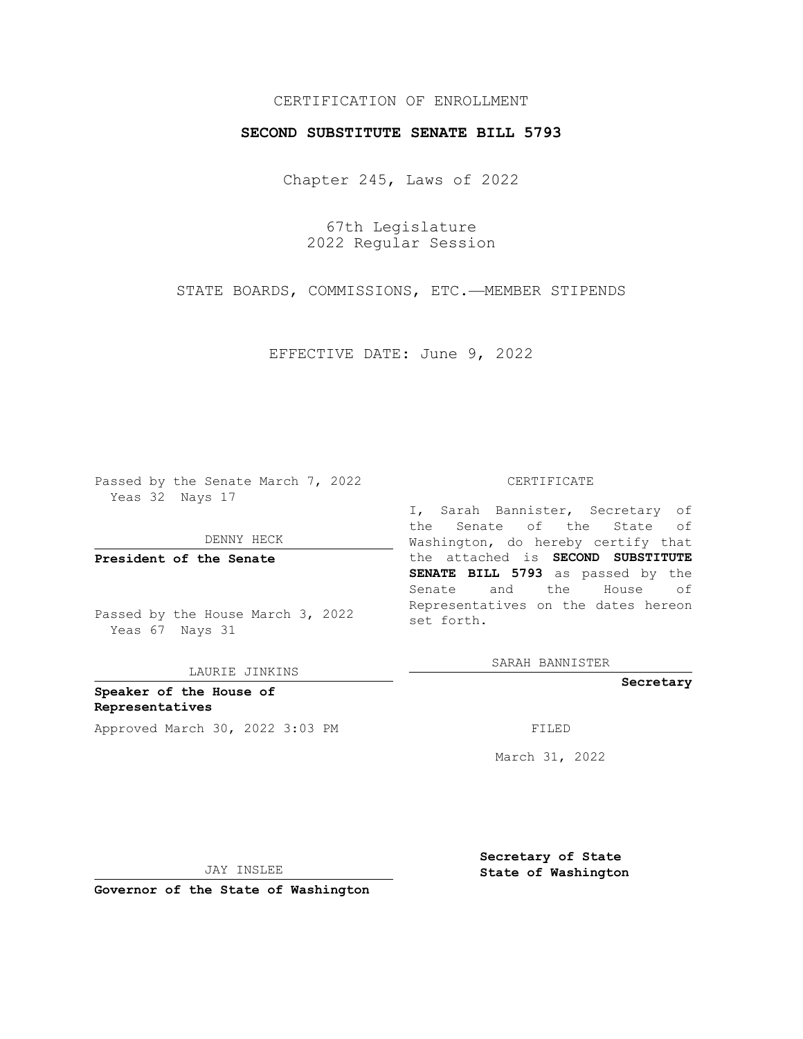## CERTIFICATION OF ENROLLMENT

## **SECOND SUBSTITUTE SENATE BILL 5793**

Chapter 245, Laws of 2022

67th Legislature 2022 Regular Session

STATE BOARDS, COMMISSIONS, ETC.—MEMBER STIPENDS

EFFECTIVE DATE: June 9, 2022

Passed by the Senate March 7, 2022 Yeas 32 Nays 17

DENNY HECK

**President of the Senate**

Passed by the House March 3, 2022 Yeas 67 Nays 31

LAURIE JINKINS

**Speaker of the House of Representatives** Approved March 30, 2022 3:03 PM FILED

#### CERTIFICATE

I, Sarah Bannister, Secretary of the Senate of the State of Washington, do hereby certify that the attached is **SECOND SUBSTITUTE SENATE BILL 5793** as passed by the Senate and the House of Representatives on the dates hereon set forth.

SARAH BANNISTER

**Secretary**

March 31, 2022

JAY INSLEE

**Secretary of State State of Washington**

**Governor of the State of Washington**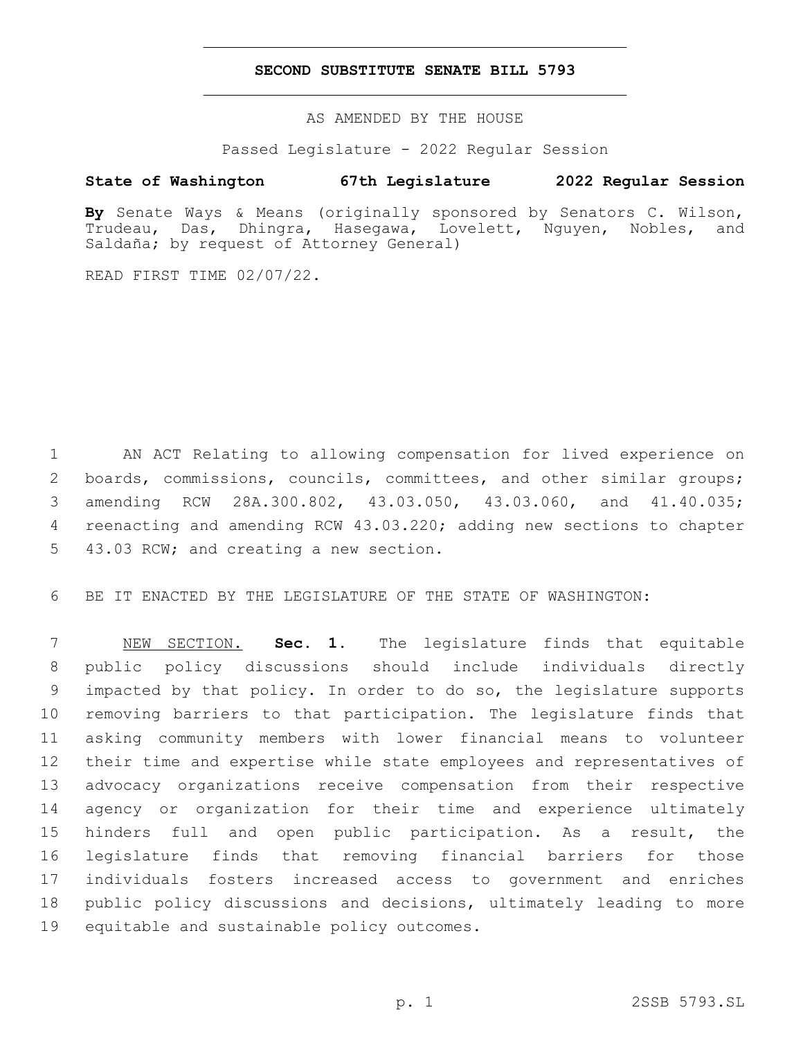### **SECOND SUBSTITUTE SENATE BILL 5793**

AS AMENDED BY THE HOUSE

Passed Legislature - 2022 Regular Session

# **State of Washington 67th Legislature 2022 Regular Session**

**By** Senate Ways & Means (originally sponsored by Senators C. Wilson, Trudeau, Das, Dhingra, Hasegawa, Lovelett, Nguyen, Nobles, and Saldaña; by request of Attorney General)

READ FIRST TIME 02/07/22.

 AN ACT Relating to allowing compensation for lived experience on 2 boards, commissions, councils, committees, and other similar groups; amending RCW 28A.300.802, 43.03.050, 43.03.060, and 41.40.035; reenacting and amending RCW 43.03.220; adding new sections to chapter 5 43.03 RCW; and creating a new section.

BE IT ENACTED BY THE LEGISLATURE OF THE STATE OF WASHINGTON:

 NEW SECTION. **Sec. 1.** The legislature finds that equitable public policy discussions should include individuals directly impacted by that policy. In order to do so, the legislature supports removing barriers to that participation. The legislature finds that asking community members with lower financial means to volunteer their time and expertise while state employees and representatives of advocacy organizations receive compensation from their respective agency or organization for their time and experience ultimately hinders full and open public participation. As a result, the legislature finds that removing financial barriers for those individuals fosters increased access to government and enriches public policy discussions and decisions, ultimately leading to more equitable and sustainable policy outcomes.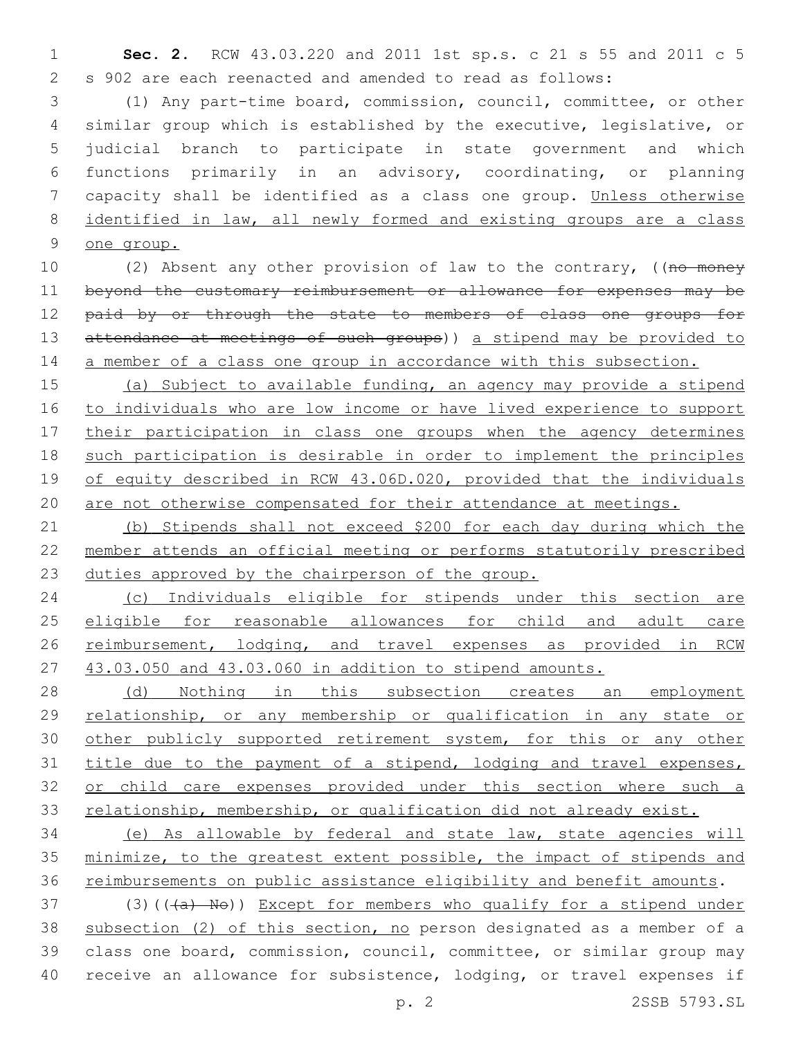**Sec. 2.** RCW 43.03.220 and 2011 1st sp.s. c 21 s 55 and 2011 c 5 s 902 are each reenacted and amended to read as follows:

 (1) Any part-time board, commission, council, committee, or other similar group which is established by the executive, legislative, or judicial branch to participate in state government and which functions primarily in an advisory, coordinating, or planning capacity shall be identified as a class one group. Unless otherwise identified in law, all newly formed and existing groups are a class one group.

10 (2) Absent any other provision of law to the contrary, ((no money beyond the customary reimbursement or allowance for expenses may be 12 paid by or through the state to members of class one groups for 13 attendance at meetings of such groups)) a stipend may be provided to 14 a member of a class one group in accordance with this subsection.

 (a) Subject to available funding, an agency may provide a stipend to individuals who are low income or have lived experience to support 17 their participation in class one groups when the agency determines such participation is desirable in order to implement the principles 19 of equity described in RCW 43.06D.020, provided that the individuals are not otherwise compensated for their attendance at meetings.

 (b) Stipends shall not exceed \$200 for each day during which the member attends an official meeting or performs statutorily prescribed duties approved by the chairperson of the group.

 (c) Individuals eligible for stipends under this section are eligible for reasonable allowances for child and adult care 26 reimbursement, lodging, and travel expenses as provided in RCW 43.03.050 and 43.03.060 in addition to stipend amounts.

28 (d) Nothing in this subsection creates an employment relationship, or any membership or qualification in any state or 30 other publicly supported retirement system, for this or any other 31 title due to the payment of a stipend, lodging and travel expenses, 32 or child care expenses provided under this section where such a 33 relationship, membership, or qualification did not already exist.

 (e) As allowable by federal and state law, state agencies will minimize, to the greatest extent possible, the impact of stipends and 36 reimbursements on public assistance eligibility and benefit amounts.

37 (3)( $(\overline{a} + \overline{b} + \overline{d})$ ) Except for members who qualify for a stipend under subsection (2) of this section, no person designated as a member of a class one board, commission, council, committee, or similar group may receive an allowance for subsistence, lodging, or travel expenses if

p. 2 2SSB 5793.SL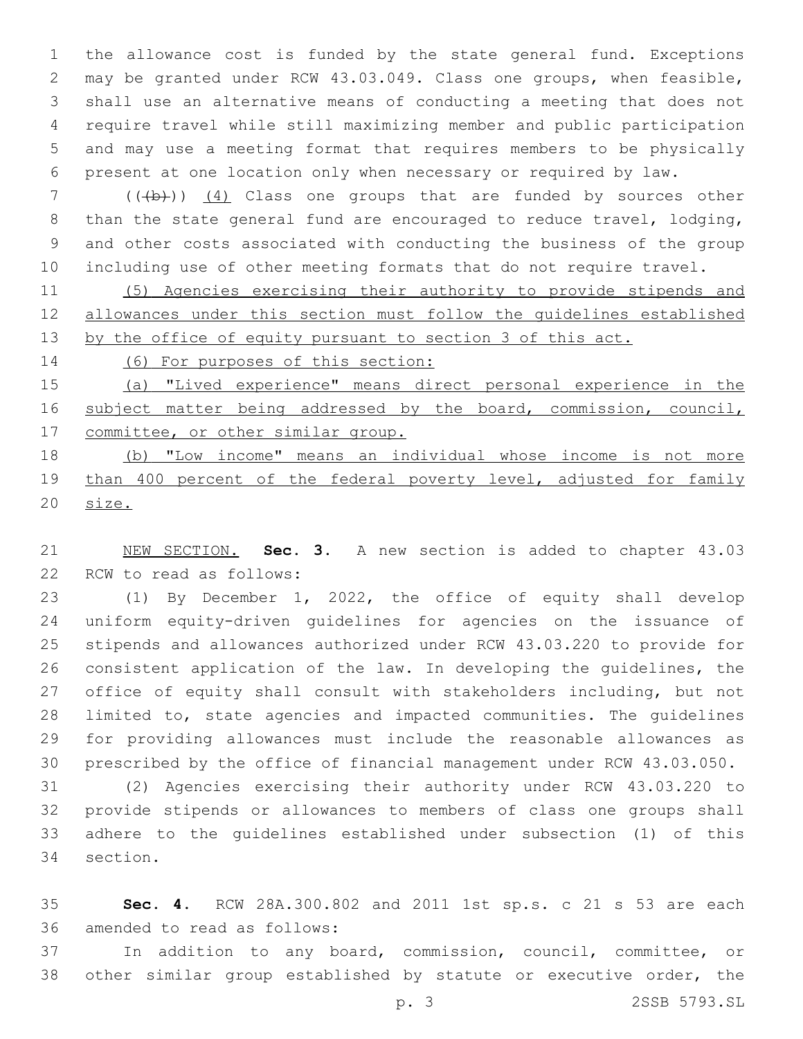the allowance cost is funded by the state general fund. Exceptions may be granted under RCW 43.03.049. Class one groups, when feasible, shall use an alternative means of conducting a meeting that does not require travel while still maximizing member and public participation and may use a meeting format that requires members to be physically present at one location only when necessary or required by law.

7 (((b)) (4) Class one groups that are funded by sources other than the state general fund are encouraged to reduce travel, lodging, and other costs associated with conducting the business of the group including use of other meeting formats that do not require travel.

 (5) Agencies exercising their authority to provide stipends and allowances under this section must follow the guidelines established 13 by the office of equity pursuant to section 3 of this act.

(6) For purposes of this section:

 (a) "Lived experience" means direct personal experience in the 16 subject matter being addressed by the board, commission, council, 17 committee, or other similar group.

 (b) "Low income" means an individual whose income is not more 19 than 400 percent of the federal poverty level, adjusted for family size.

 NEW SECTION. **Sec. 3.** A new section is added to chapter 43.03 22 RCW to read as follows:

 (1) By December 1, 2022, the office of equity shall develop uniform equity-driven guidelines for agencies on the issuance of stipends and allowances authorized under RCW 43.03.220 to provide for consistent application of the law. In developing the guidelines, the office of equity shall consult with stakeholders including, but not limited to, state agencies and impacted communities. The guidelines for providing allowances must include the reasonable allowances as prescribed by the office of financial management under RCW 43.03.050.

 (2) Agencies exercising their authority under RCW 43.03.220 to provide stipends or allowances to members of class one groups shall adhere to the guidelines established under subsection (1) of this 34 section.

 **Sec. 4.** RCW 28A.300.802 and 2011 1st sp.s. c 21 s 53 are each 36 amended to read as follows:

 In addition to any board, commission, council, committee, or other similar group established by statute or executive order, the

p. 3 2SSB 5793.SL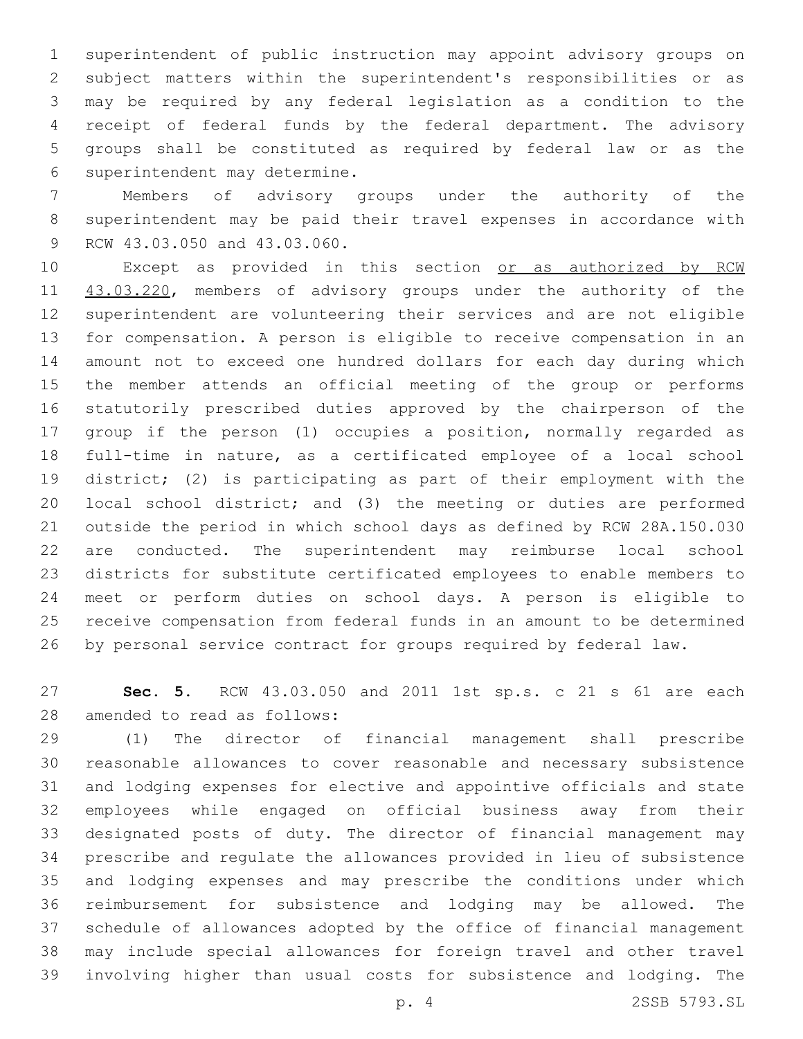superintendent of public instruction may appoint advisory groups on subject matters within the superintendent's responsibilities or as may be required by any federal legislation as a condition to the receipt of federal funds by the federal department. The advisory groups shall be constituted as required by federal law or as the 6 superintendent may determine.

 Members of advisory groups under the authority of the superintendent may be paid their travel expenses in accordance with 9 RCW 43.03.050 and 43.03.060.

10 Except as provided in this section or as authorized by RCW 11 43.03.220, members of advisory groups under the authority of the superintendent are volunteering their services and are not eligible for compensation. A person is eligible to receive compensation in an amount not to exceed one hundred dollars for each day during which the member attends an official meeting of the group or performs statutorily prescribed duties approved by the chairperson of the group if the person (1) occupies a position, normally regarded as full-time in nature, as a certificated employee of a local school district; (2) is participating as part of their employment with the local school district; and (3) the meeting or duties are performed outside the period in which school days as defined by RCW 28A.150.030 are conducted. The superintendent may reimburse local school districts for substitute certificated employees to enable members to meet or perform duties on school days. A person is eligible to receive compensation from federal funds in an amount to be determined by personal service contract for groups required by federal law.

 **Sec. 5.** RCW 43.03.050 and 2011 1st sp.s. c 21 s 61 are each 28 amended to read as follows:

 (1) The director of financial management shall prescribe reasonable allowances to cover reasonable and necessary subsistence and lodging expenses for elective and appointive officials and state employees while engaged on official business away from their designated posts of duty. The director of financial management may prescribe and regulate the allowances provided in lieu of subsistence and lodging expenses and may prescribe the conditions under which reimbursement for subsistence and lodging may be allowed. The schedule of allowances adopted by the office of financial management may include special allowances for foreign travel and other travel involving higher than usual costs for subsistence and lodging. The

p. 4 2SSB 5793.SL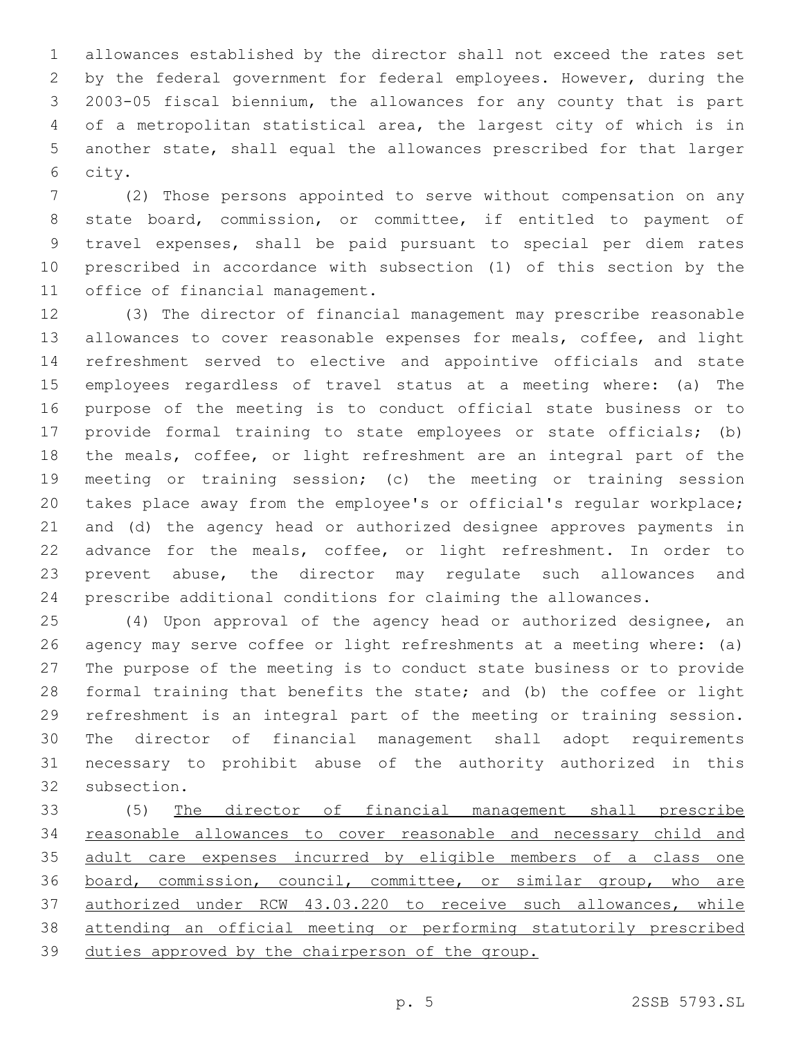allowances established by the director shall not exceed the rates set by the federal government for federal employees. However, during the 2003-05 fiscal biennium, the allowances for any county that is part of a metropolitan statistical area, the largest city of which is in another state, shall equal the allowances prescribed for that larger 6 city.

 (2) Those persons appointed to serve without compensation on any state board, commission, or committee, if entitled to payment of travel expenses, shall be paid pursuant to special per diem rates prescribed in accordance with subsection (1) of this section by the 11 office of financial management.

 (3) The director of financial management may prescribe reasonable allowances to cover reasonable expenses for meals, coffee, and light refreshment served to elective and appointive officials and state employees regardless of travel status at a meeting where: (a) The purpose of the meeting is to conduct official state business or to provide formal training to state employees or state officials; (b) the meals, coffee, or light refreshment are an integral part of the meeting or training session; (c) the meeting or training session takes place away from the employee's or official's regular workplace; and (d) the agency head or authorized designee approves payments in advance for the meals, coffee, or light refreshment. In order to prevent abuse, the director may regulate such allowances and prescribe additional conditions for claiming the allowances.

 (4) Upon approval of the agency head or authorized designee, an agency may serve coffee or light refreshments at a meeting where: (a) The purpose of the meeting is to conduct state business or to provide formal training that benefits the state; and (b) the coffee or light refreshment is an integral part of the meeting or training session. The director of financial management shall adopt requirements necessary to prohibit abuse of the authority authorized in this 32 subsection.

 (5) The director of financial management shall prescribe reasonable allowances to cover reasonable and necessary child and adult care expenses incurred by eligible members of a class one board, commission, council, committee, or similar group, who are authorized under RCW 43.03.220 to receive such allowances, while attending an official meeting or performing statutorily prescribed duties approved by the chairperson of the group.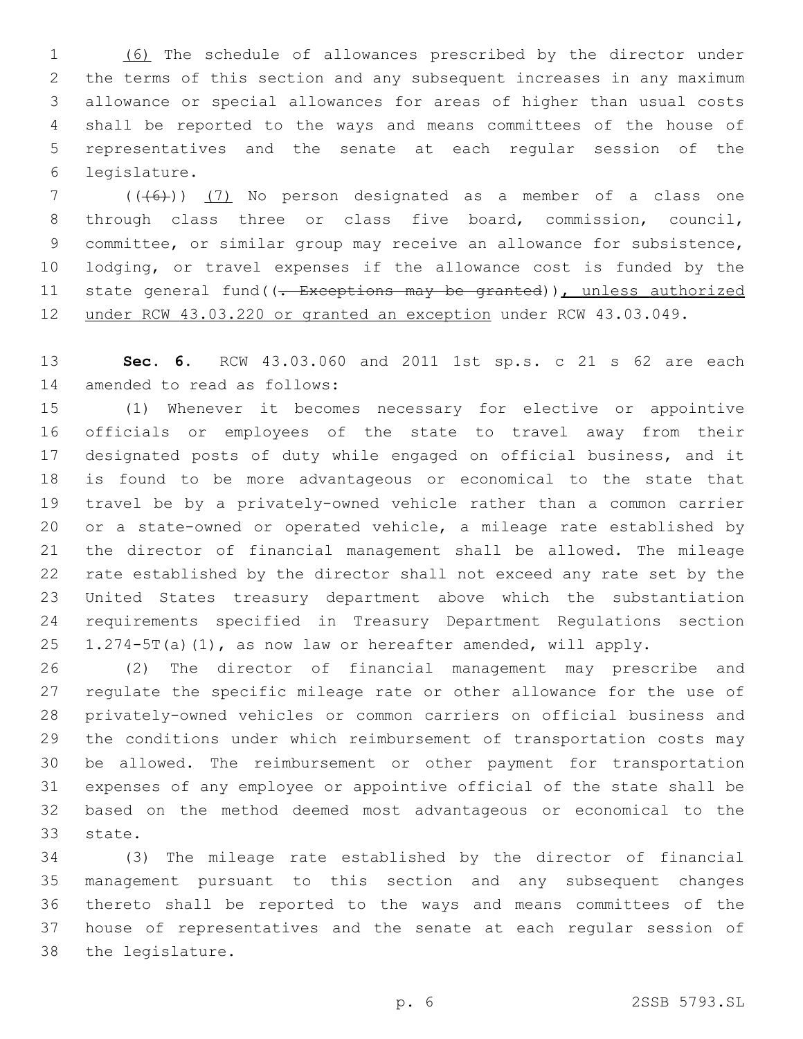(6) The schedule of allowances prescribed by the director under the terms of this section and any subsequent increases in any maximum allowance or special allowances for areas of higher than usual costs shall be reported to the ways and means committees of the house of representatives and the senate at each regular session of the legislature.6

 ( $(\overline{6})$ ) (7) No person designated as a member of a class one through class three or class five board, commission, council, committee, or similar group may receive an allowance for subsistence, lodging, or travel expenses if the allowance cost is funded by the 11 state general fund((- Exceptions may be granted)), unless authorized under RCW 43.03.220 or granted an exception under RCW 43.03.049.

 **Sec. 6.** RCW 43.03.060 and 2011 1st sp.s. c 21 s 62 are each 14 amended to read as follows:

 (1) Whenever it becomes necessary for elective or appointive officials or employees of the state to travel away from their designated posts of duty while engaged on official business, and it is found to be more advantageous or economical to the state that travel be by a privately-owned vehicle rather than a common carrier or a state-owned or operated vehicle, a mileage rate established by the director of financial management shall be allowed. The mileage rate established by the director shall not exceed any rate set by the United States treasury department above which the substantiation requirements specified in Treasury Department Regulations section 1.274-5T(a)(1), as now law or hereafter amended, will apply.

 (2) The director of financial management may prescribe and regulate the specific mileage rate or other allowance for the use of privately-owned vehicles or common carriers on official business and the conditions under which reimbursement of transportation costs may be allowed. The reimbursement or other payment for transportation expenses of any employee or appointive official of the state shall be based on the method deemed most advantageous or economical to the 33 state.

 (3) The mileage rate established by the director of financial management pursuant to this section and any subsequent changes thereto shall be reported to the ways and means committees of the house of representatives and the senate at each regular session of 38 the legislature.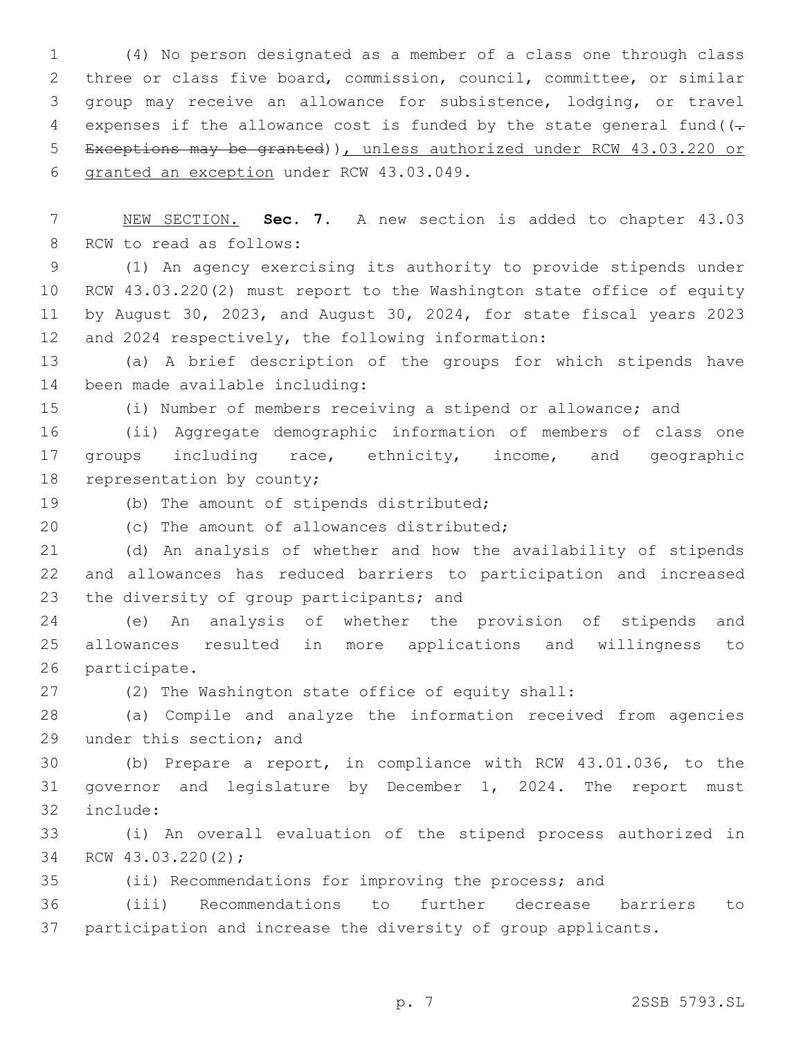(4) No person designated as a member of a class one through class three or class five board, commission, council, committee, or similar group may receive an allowance for subsistence, lodging, or travel 4 expenses if the allowance cost is funded by the state general fund  $(-$  Exceptions may be granted)), unless authorized under RCW 43.03.220 or 6 granted an exception under RCW 43.03.049.

 NEW SECTION. **Sec. 7.** A new section is added to chapter 43.03 8 RCW to read as follows:

 (1) An agency exercising its authority to provide stipends under RCW 43.03.220(2) must report to the Washington state office of equity by August 30, 2023, and August 30, 2024, for state fiscal years 2023 12 and 2024 respectively, the following information:

 (a) A brief description of the groups for which stipends have 14 been made available including:

(i) Number of members receiving a stipend or allowance; and

 (ii) Aggregate demographic information of members of class one groups including race, ethnicity, income, and geographic 18 representation by county;

19 (b) The amount of stipends distributed;

20 (c) The amount of allowances distributed;

 (d) An analysis of whether and how the availability of stipends and allowances has reduced barriers to participation and increased 23 the diversity of group participants; and

 (e) An analysis of whether the provision of stipends and allowances resulted in more applications and willingness to 26 participate.

(2) The Washington state office of equity shall:

 (a) Compile and analyze the information received from agencies 29 under this section; and

 (b) Prepare a report, in compliance with RCW 43.01.036, to the governor and legislature by December 1, 2024. The report must 32 include:

 (i) An overall evaluation of the stipend process authorized in 34 RCW 43.03.220(2);

(ii) Recommendations for improving the process; and

 (iii) Recommendations to further decrease barriers to participation and increase the diversity of group applicants.